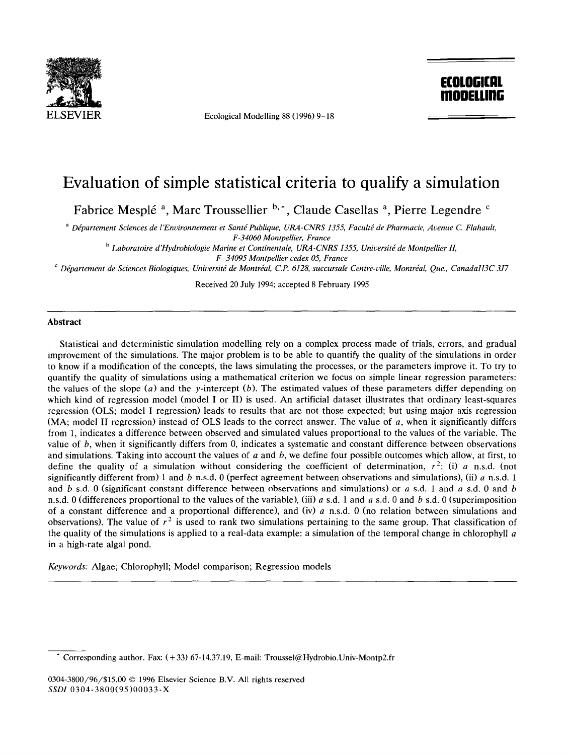

**ELSEVIER** Ecological Modelling 88 (1996) 9-18

**E(OLOGI(gL mODELLInG** 

# **Evaluation of simple statistical criteria to qualify a simulation**

Fabrice Mesplé<sup>a</sup>, Marc Troussellier b,\*, Claude Casellas<sup>a</sup>, Pierre Legendre<sup>c</sup>

<sup>a</sup> Département Sciences de l'Environnement et Santé Publique, URA-CNRS 1355, Faculté de Pharmacie, Avenue C. Flahault, *F-34060 Montpellier, France* 

<sup>b</sup> Laboratoire d'Hydrobiologie Marine et Continentale, URA-CNRS 1355, Université de Montpellier II,

*F-34095 Montpellier cedex 05, France* 

<sup>c</sup> Département de Sciences Biologiques, Université de Montréal, C.P. 6128, succursale Centre-ville, Montréal, Que., CanadaH3C 3J7

Received 20 July 1994; accepted 8 February 1995

#### **Abstract**

Statistical and deterministic simulation modelling rely on a complex process made of trials, errors, and gradual improvement of the simulations. The major problem is to be able to quantify the quality of the simulations in order to know if a modification of the concepts, the laws simulating the processes, or the parameters improve it. To try to quantify the quality of simulations using a mathematical criterion we focus on simple linear regression parameters: the values of the slope (a) and the y-intercept (b). The estimated values of these parameters differ depending on which kind of regression model (model I or II) is used. An artificial dataset illustrates that ordinary least-squares regression (OLS; model I regression) leads to results that are not those expected; but using major axis regression (MA; model II regression) instead of OLS leads to the correct answer. The value of  $a$ , when it significantly differs from 1, indicates a difference between observed and simulated values proportional to the values of the variable. The value of  $b$ , when it significantly differs from  $0$ , indicates a systematic and constant difference between observations and simulations. Taking into account the values of  $a$  and  $b$ , we define four possible outcomes which allow, at first, to define the quality of a simulation without considering the coefficient of determination,  $r^2$ : (i) a n.s.d. (not significantly different from) 1 and b n.s.d. 0 (perfect agreement between observations and simulations), (ii) a n.s.d. 1 and b s.d. 0 (significant constant difference between observations and simulations) or a s.d. 1 and a s.d. 0 and b n.s.d. 0 (differences proportional to the values of the variable), (iii)  $a$  s.d. 1 and  $a$  s.d. 0 and  $b$  s.d. 0 (superimposition of a constant difference and a proportional difference), and (iv)  $a$  n.s.d. 0 (no relation between simulations and observations). The value of  $r^2$  is used to rank two simulations pertaining to the same group. That classification of the quality of the simulations is applied to a real-data example: a simulation of the temporal change in chlorophyll a in a high-rate algal pond.

*Keywords:* Algae; Chlorophyll; Model comparison; Regression models

 $\overline{\text{Corresponding author}}$ . Fax: (+33) 67-14.37.19, E-mail: Troussel@Hydrobio.Univ-Montp2.fr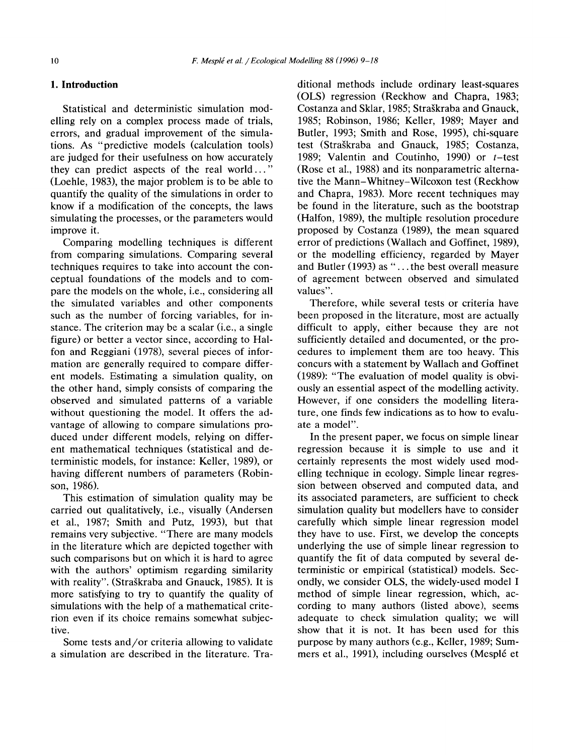#### **I. Introduction**

Statistical and deterministic simulation modelling rely on a complex process made of trials, errors, and gradual improvement of the simulations. As "predictive models (calculation tools) are judged for their usefulness on how accurately they can predict aspects of the real world..." (Loehle, 1983), the major problem is to be able to quantify the quality of the simulations in order to know if a modification of the concepts, the laws simulating the processes, or the parameters would improve it.

Comparing modelling techniques is different from comparing simulations. Comparing several techniques requires to take into account the conceptual foundations of the models and to compare the models on the whole, i.e., considering all the simulated variables and other components such as the number of forcing variables, for instance. The criterion may be a scalar (i.e., a single figure) or better a vector since, according to Halfon and Reggiani (1978), several pieces of information are generally required to compare different models. Estimating a simulation quality, on the other hand, simply consists of comparing the observed and simulated patterns of a variable without questioning the model. It offers the advantage of allowing to compare simulations produced under different models, relying on different mathematical techniques (statistical and deterministic models, for instance: Keller, 1989), or having different numbers of parameters (Robinson, 1986).

This estimation of simulation quality may be carried out qualitatively, i.e., visually (Andersen et al., 1987; Smith and Putz, 1993), but that remains very subjective. "There are many models in the literature which are depicted together with such comparisons but on which it is hard to agree with the authors' optimism regarding similarity with reality". (Straškraba and Gnauck, 1985). It is more satisfying to try to quantify the quality of simulations with the help of a mathematical criterion even if its choice remains somewhat subjective.

Some tests and/or criteria allowing to validate a simulation are described in the literature. Tra-

ditional methods include ordinary least-squares (OLS) regression (Reckhow and Chapra, 1983; Costanza and Sklar, 1985; Straškraba and Gnauck, 1985; Robinson, 1986; Keller, 1989; Mayer and Butler, 1993; Smith and Rose, 1995), chi-square test (Straškraba and Gnauck, 1985; Costanza, 1989; Valentin and Coutinho, 1990) or  $t$ -test (Rose et al., 1988) and its nonparametric alternative the Mann-Whitney-Wilcoxon test (Reckhow and Chapra, 1983). More recent techniques may be found in the literature, such as the bootstrap (Halfon, 1989), the multiple resolution procedure proposed by Costanza (1989), the mean squared error of predictions (Wallach and Goffinet, 1989), or the modelling efficiency, regarded by Mayer and Butler (1993) as "... the best overall measure of agreement between observed and simulated values".

Therefore, while several tests or criteria have been proposed in the literature, most are actually difficult to apply, either because they are not sufficiently detailed and documented, or the procedures to implement them are too heavy. This concurs with a statement by Wallach and Goffinet (1989): "The evaluation of model quality is obviously an essential aspect of the modelling activity. However, if one considers the modelling literature, one finds few indications as to how to evaluate a model".

In the present paper, we focus on simple linear regression because it is simple to use and it certainly represents the most widely used modelling technique in ecology. Simple linear regression between observed and computed data, and its associated parameters, are sufficient to check simulation quality but modellers have to consider carefully which simple linear regression model they have to use. First, we develop the concepts underlying the use of simple linear regression to quantify the fit of data computed by several deterministic or empirical (statistical) models. Secondly, we consider OLS, the widely-used model I method of simple linear regression, which, according to many authors (listed above), seems adequate to check simulation quality; we will show that it is not. It has been used for this purpose by many authors (e.g., Keller, 1989; Summers et al., 1991), including ourselves (Mesplé et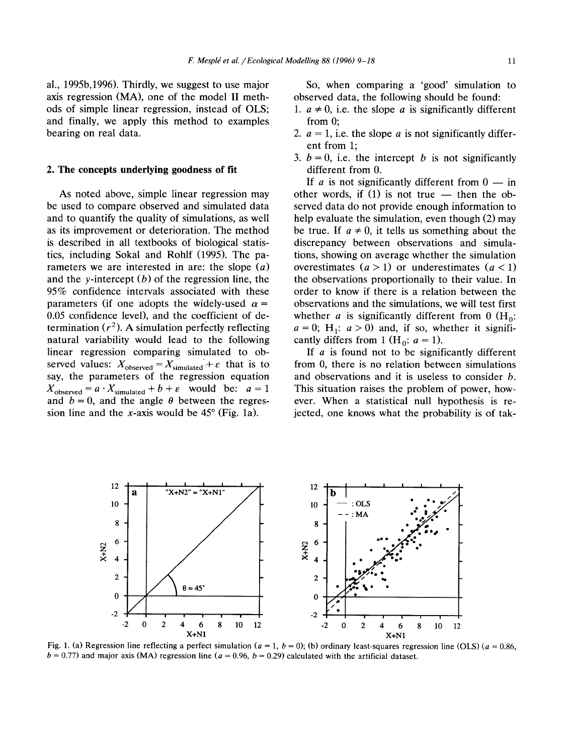al., 1995b,1996). Thirdly, we suggest to use major axis regression (MA), one of the model II methods of simple linear regression, instead of OLS; and finally, we apply this method to examples bearing on real data.

#### **2. The concepts underlying goodness of fit**

As noted above, simple linear regression may be used to compare observed and simulated data and to quantify the quality of simulations, as well as its improvement or deterioration. The method is described in all textbooks of biological statistics, including Sokal and Rohlf (1995). The parameters we are interested in are: the slope  $(a)$ and the y-intercept  $(b)$  of the regression line, the 95% confidence intervals associated with these parameters (if one adopts the widely-used  $\alpha$  = 0.05 confidence level), and the coefficient of determination  $(r^2)$ . A simulation perfectly reflecting natural variability would lead to the following linear regression comparing simulated to observed values:  $X_{observed} = X_{simulated} + \varepsilon$  that is to say, the parameters of the regression equation  $X_{observed} = a \cdot X_{simulated} + b + \varepsilon$  would be:  $a = 1$ and  $b = 0$ , and the angle  $\theta$  between the regression line and the x-axis would be  $45^{\circ}$  (Fig. 1a).

So, when comparing a 'good' simulation to observed data, the following should be found:

- 1.  $a \neq 0$ , i.e. the slope a is significantly different from 0;
- 2.  $a = 1$ , i.e. the slope a is not significantly different from 1;
- 3.  $b = 0$ , i.e. the intercept b is not significantly different from 0.

If a is not significantly different from  $0 \text{ -- in}$ other words, if  $(1)$  is not true — then the observed data do not provide enough information to help evaluate the simulation, even though (2) may be true. If  $a \neq 0$ , it tells us something about the discrepancy between observations and simulations, showing on average whether the simulation overestimates  $(a > 1)$  or underestimates  $(a < 1)$ the observations proportionally to their value. In order to know if there is a relation between the observations and the simulations, we will test first whether a is significantly different from 0  $(H_0:$  $a = 0$ ; H<sub>1</sub>:  $a > 0$ ) and, if so, whether it significantly differs from 1 ( $H_0$ :  $a = 1$ ).

If  $a$  is found not to be significantly different from 0, there is no relation between simulations and observations and it is useless to consider b. This situation raises the problem of power, however. When a statistical null hypothesis is rejected, one knows what the probability is of tak-



Fig. 1. (a) Regression line reflecting a perfect simulation ( $a = 1$ ,  $b = 0$ ); (b) ordinary least-squares regression line (OLS) ( $a = 0.86$ ,  $b = 0.77$ ) and major axis (MA) regression line ( $a = 0.96$ ,  $b = 0.29$ ) calculated with the artificial dataset.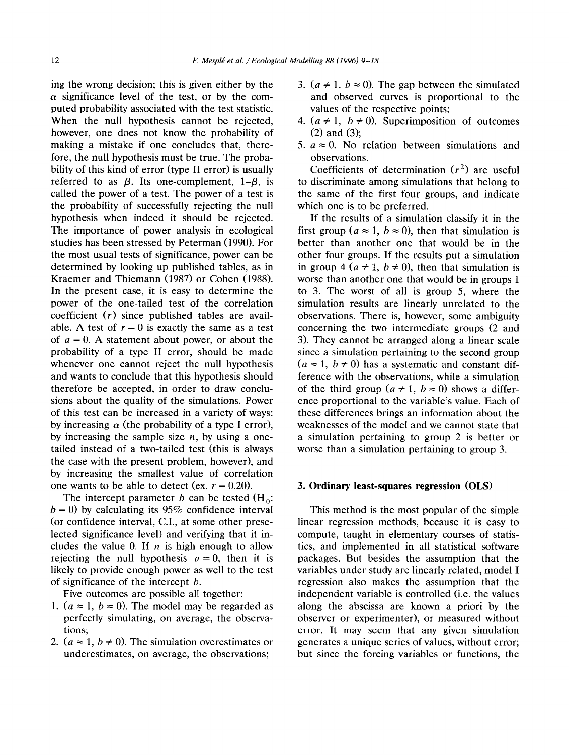ing the wrong decision; this is given either by the  $\alpha$  significance level of the test, or by the computed probability associated with the test statistic. When the null hypothesis cannot be rejected, however, one does not know the probability of making a mistake if one concludes that, therefore, the null hypothesis must be true. The probability of this kind of error (type II error) is usually referred to as  $\beta$ . Its one-complement,  $1-\beta$ , is called the power of a test. The power of a test is the probability of successfully rejecting the null hypothesis when indeed it should be rejected. The importance of power analysis in ecological studies has been stressed by Peterman (1990). For the most usual tests of significance, power can be determined by looking up published tables, as in Kraemer and Thiemann (1987) or Cohen (1988). In the present case, it is easy to determine the power of the one-tailed test of the correlation coefficient (r) since published tables are available. A test of  $r = 0$  is exactly the same as a test of  $a = 0$ . A statement about power, or about the probability of a type II error, should be made whenever one cannot reject the null hypothesis and wants to conclude that this hypothesis should therefore be accepted, in order to draw conclusions about the quality of the simulations. Power of this test can be increased in a variety of ways: by increasing  $\alpha$  (the probability of a type I error), by increasing the sample size  $n$ , by using a onetailed instead of a two-tailed test (this is always the case with the present problem, however), and by increasing the smallest value of correlation one wants to be able to detect (ex.  $r = 0.20$ ).

The intercept parameter b can be tested  $(H_0:$  $b = 0$ ) by calculating its 95% confidence interval (or confidence interval, C.I., at some other preselected significance level) and verifying that it includes the value 0. If  $n$  is high enough to allow rejecting the null hypothesis  $a = 0$ , then it is likely to provide enough power as well to the test of significance of the intercept b.

Five outcomes are possible all together:

- 1. ( $a \approx 1$ ,  $b \approx 0$ ). The model may be regarded as perfectly simulating, on average, the observations;
- 2. ( $a \approx 1$ ,  $b \ne 0$ ). The simulation overestimates or underestimates, on average, the observations;
- 3.  $(a \neq 1, b \approx 0)$ . The gap between the simulated and observed curves is proportional to the values of the respective points;
- 4.  $(a \ne 1, b \ne 0)$ . Superimposition of outcomes (2) and (3);
- 5.  $a \approx 0$ . No relation between simulations and observations.

Coefficients of determination  $(r^2)$  are useful to discriminate among simulations that belong to the same of the first four groups, and indicate which one is to be preferred.

If the results of a simulation classify it in the first group ( $a \approx 1$ ,  $b \approx 0$ ), then that simulation is better than another one that would be in the other four groups. If the results put a simulation in group 4 ( $a \ne 1$ ,  $b \ne 0$ ), then that simulation is worse than another one that would be in groups 1 to 3. The worst of all is group 5, where the simulation results are linearly unrelated to the observations. There is, however, some ambiguity concerning the two intermediate groups (2 and 3). They cannot be arranged along a linear scale since a simulation pertaining to the second group  $(a \approx 1, b \neq 0)$  has a systematic and constant difference with the observations, while a simulation of the third group ( $a \ne 1$ ,  $b \approx 0$ ) shows a difference proportional to the variable's value. Each of these differences brings an information about the weaknesses of the model and we cannot state that a simulation pertaining to group 2 is better or worse than a simulation pertaining to group 3.

#### **3. Ordinary least-squares regression (OLS)**

This method is the most popular of the simple linear regression methods, because it is easy to compute, taught in elementary courses of statistics, and implemented in all statistical software packages. But besides the assumption that the variables under study are linearly related, model I regression also makes the assumption that the independent variable is controlled (i.e. the values along the abscissa are known a priori by the observer or experimenter), or measured without error. It may seem that any given simulation generates a unique series of values, without error; but since the forcing variables or functions, the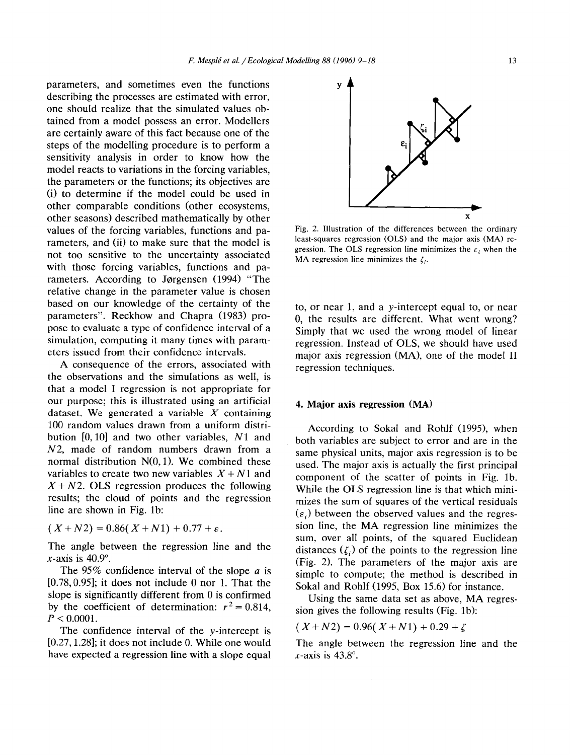parameters, and sometimes even the functions describing the processes are estimated with error, one should realize that the simulated values obtained from a model possess an error. Modellers are certainly aware of this fact because one of the steps of the modelling procedure is to perform a sensitivity analysis in order to know how the model reacts to variations in the forcing variables, the parameters or the functions; its objectives are (i) to determine if the model could be used in other comparable conditions (other ecosystems, other seasons) described mathematically by other values of the forcing variables, functions and parameters, and (ii) to make sure that the model is not too sensitive to the uncertainty associated with those forcing variables, functions and parameters. According to Jørgensen (1994) "The relative change in the parameter value is chosen based on our knowledge of the certainty of the parameters". Reckhow and Chapra (1983) propose to evaluate a type of confidence interval of a simulation, computing it many times with parameters issued from their confidence intervals.

A consequence of the errors, associated with the observations and the simulations as well, is that a model I regression is not appropriate for our purpose; this is illustrated using an artificial dataset. We generated a variable  $X$  containing 100 random values drawn from a uniform distribution [0,10] and two other variables, N1 and N2, made of random numbers drawn from a normal distribution  $N(0, 1)$ . We combined these variables to create two new variables  $X + N1$  and  $X + N2$ . OLS regression produces the following results; the cloud of points and the regression line are shown in Fig. lb:

 $(X+N2) = 0.86(X+N1) + 0.77 + \varepsilon$ .

The angle between the regression line and the  $x$ -axis is 40.9 $^{\circ}$ .

The  $95\%$  confidence interval of the slope  $a$  is  $[0.78, 0.95]$ ; it does not include 0 nor 1. That the slope is significantly different from 0 is confirmed by the coefficient of determination:  $r^2 = 0.814$ ,  $P < 0.0001$ .

The confidence interval of the y-intercept is [0.27, 1.28]; it does not include 0. While one would have expected a regression line with a slope equal



Fig. 2. Illustration of the differences between the ordinary least-squares regression (OLS) and the major axis (MA) regression. The OLS regression line minimizes the  $\varepsilon_i$  when the MA regression line minimizes the  $\zeta_i$ .

to, or near 1, and a y-intercept equal to, or near 0, the results are different. What went wrong? Simply that we used the wrong model of linear regression. Instead of OLS, we should have used major axis regression (MA), one of the model II regression techniques.

#### **4. Major axis regression (MA)**

According to Sokal and Rohlf (1995), when both variables are subject to error and are in the same physical units, major axis regression is to be used. The major axis is actually the first principal component of the scatter of points in Fig. lb. While the OLS regression line is that which minimizes the sum of squares of the vertical residuals  $(\varepsilon)$  between the observed values and the regression line, the MA regression line minimizes the sum, over all points, of the squared Euclidean distances  $(\zeta_i)$  of the points to the regression line (Fig. 2). The parameters of the major axis are simple to compute; the method is described in Sokal and Rohlf (1995, Box 15.6) for instance.

Using the same data set as above, MA regression gives the following results (Fig. lb):

 $(X+N2) = 0.96(X+N1) + 0.29 + \zeta$ 

The angle between the regression line and the  $x$ -axis is 43.8 $^{\circ}$ .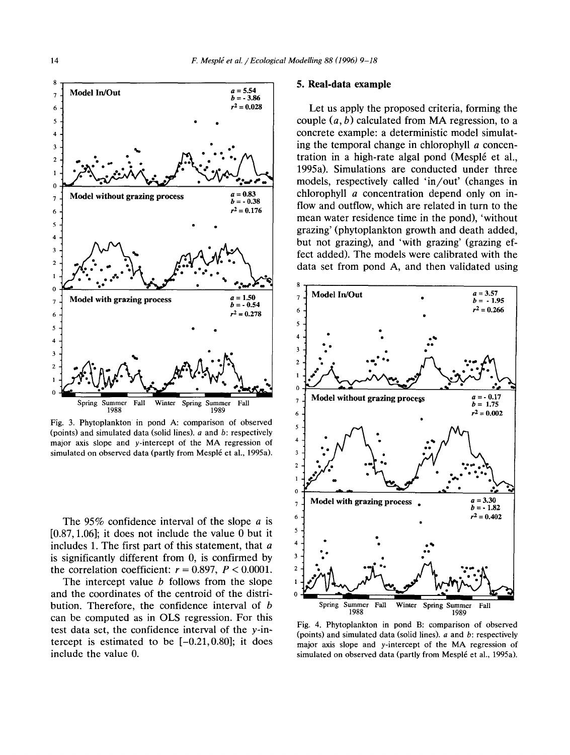

Fig. 3. **Phytoplankton in pond A: comparison of observed (points) and simulated data (solid lines), a and b: respectively major axis slope and y-intercept of the MA regression of simulated on observed data (partly from Mespl6 et** al., 1995a).

**The 95% confidence interval of the slope a is [0.87, 1.06]; it does not include the value 0 but it includes 1. The first part of this statement, that a is significantly different from 0, is confirmed by**  the correlation coefficient:  $r = 0.897$ ,  $P < 0.0001$ .

**The intercept value b follows from the slope and the coordinates of the centroid of the distribution. Therefore, the confidence interval of b can be computed as in OLS regression. For this test data set, the confidence interval of the y-intercept is estimated to be [-0.21,0.80]; it does include the value 0.** 

#### **5. Real-data example**

**Let us apply the proposed criteria, forming the couple (a, b) calculated from MA regression, to a concrete example: a deterministic model simulating the temporal change in chlorophyll a concentration in a high-rate algal pond (Mespl6 et al., 1995a). Simulations are conducted under three models, respectively called 'in/out' (changes in chlorophyll a concentration depend only on inflow and outflow, which are related in turn to the mean water residence time in the pond), 'without grazing' (phytoplankton growth and death added, but not grazing), and 'with grazing' (grazing effect added). The models were calibrated with the data set from pond A, and then validated using** 



Fig. 4. **Phytoplankton in pond B: comparison of observed (points) and simulated data (solid lines), a and b: respectively major axis slope and y-intercept of the MA regression of simulated on observed data (partly from Mespl6 et** al., 1995a).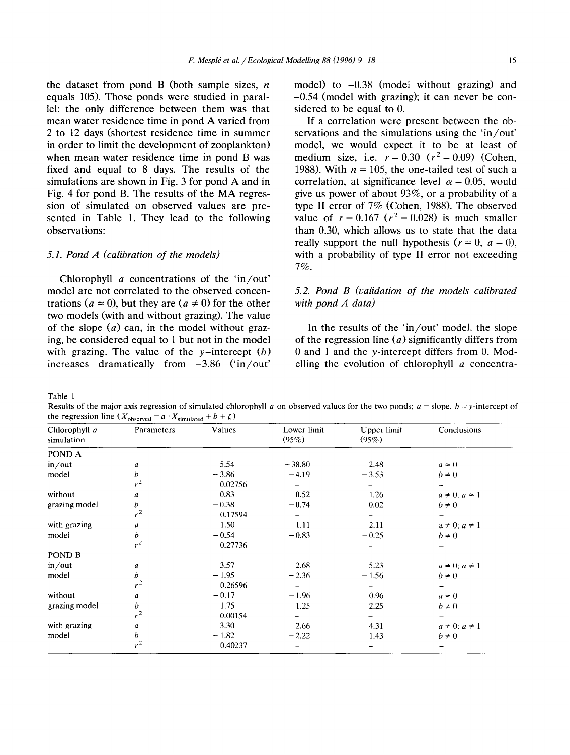the dataset from pond B (both sample sizes,  $n$ equals 105). Those ponds were studied in parallel: the only difference between them was that mean water residence time in pond A varied from 2 to 12 days (shortest residence time in summer in order to limit the development of zooplankton) when mean water residence time in pond B was fixed and equal to 8 days. The results of the simulations are shown in Fig. 3 for pond A and in Fig. 4 for pond B. The results of the MA regression of simulated on observed values are presented in Table 1. They lead to the following observations:

#### *5.1. Pond A (calibration of the models)*

Chlorophyll a concentrations of the 'in/out' model are not correlated to the observed concentrations ( $a \approx 0$ ), but they are ( $a \neq 0$ ) for the other two models (with and without grazing). The value of the slope  $(a)$  can, in the model without grazing, be considered equal to 1 but not in the model with grazing. The value of the y-intercept  $(b)$ increases dramatically from -3.86 ('in/out'

model) to -0.38 (model without grazing) and -0.54 (model with grazing); it can never be considered to be equal to 0.

If a correlation were present between the observations and the simulations using the 'in/out' model, we would expect it to be at least of medium size, i.e.  $r = 0.30$  ( $r^2 = 0.09$ ) (Cohen, 1988). With  $n = 105$ , the one-tailed test of such a correlation, at significance level  $\alpha = 0.05$ , would give us power of about 93%, or a probability of a type II error of 7% (Cohen, 1988). The observed value of  $r = 0.167$  ( $r^2 = 0.028$ ) is much smaller than 0.30, which allows us to state that the data really support the null hypothesis  $(r = 0, a = 0)$ , with a probability of type II error not exceeding 7%.

## *5.2. Pond B (validation of the models calibrated with pond A data)*

In the results of the 'in/out' model, the slope of the regression line  $(a)$  significantly differs from 0 and 1 and the y-intercept differs from 0. Modelling the evolution of chlorophyll a concentra-

Table 1

Results of the major axis regression of simulated chlorophyll a on observed values for the two ponds;  $a = slope$ ,  $b = y$ -intercept of the regression line  $(X_{observed} = a \cdot X_{simulated} + b + \zeta)$ 

| Chlorophyll a<br>simulation | Parameters | Values  | Lower limit<br>(95%) | Upper limit<br>$(95\%)$ | Conclusions                |
|-----------------------------|------------|---------|----------------------|-------------------------|----------------------------|
| POND A                      |            |         |                      |                         |                            |
| in/out                      | a          | 5.54    | $-38.80$             | 2.48                    | $a \approx 0$              |
| model                       | b          | $-3.86$ | $-4.19$              | $-3.53$                 | $b \neq 0$                 |
|                             | $r^2$      | 0.02756 |                      |                         |                            |
| without                     | a          | 0.83    | 0.52                 | 1.26                    | $a \neq 0$ ; $a \approx 1$ |
| grazing model               | b          | $-0.38$ | $-0.74$              | $-0.02$                 | $b \neq 0$                 |
|                             | $r^2$      | 0.17594 |                      |                         |                            |
| with grazing                | a          | 1.50    | 1.11                 | 2.11                    | $a \neq 0$ ; $a \neq 1$    |
| model                       | b          | $-0.54$ | $-0.83$              | $-0.25$                 | $b \neq 0$                 |
|                             | $r^2$      | 0.27736 |                      |                         | $\overline{\phantom{0}}$   |
| POND B                      |            |         |                      |                         |                            |
| in/out                      | a          | 3.57    | 2.68                 | 5.23                    | $a \neq 0$ ; $a \neq 1$    |
| model                       | b          | $-1.95$ | $-2.36$              | $-1.56$                 | $b \neq 0$                 |
|                             | $r^2$      | 0.26596 |                      |                         |                            |
| without                     | a          | $-0.17$ | $-1.96$              | 0.96                    | $a \approx 0$              |
| grazing model               | b          | 1.75    | 1.25                 | 2.25                    | $b \neq 0$                 |
|                             | $r^2$      | 0.00154 |                      |                         |                            |
| with grazing                | a          | 3.30    | 2.66                 | 4.31                    | $a \neq 0, a \neq 1$       |
| model                       | b          | $-1.82$ | $-2.22$              | $-1.43$                 | $b \neq 0$                 |
|                             | $r^2$      | 0.40237 |                      |                         |                            |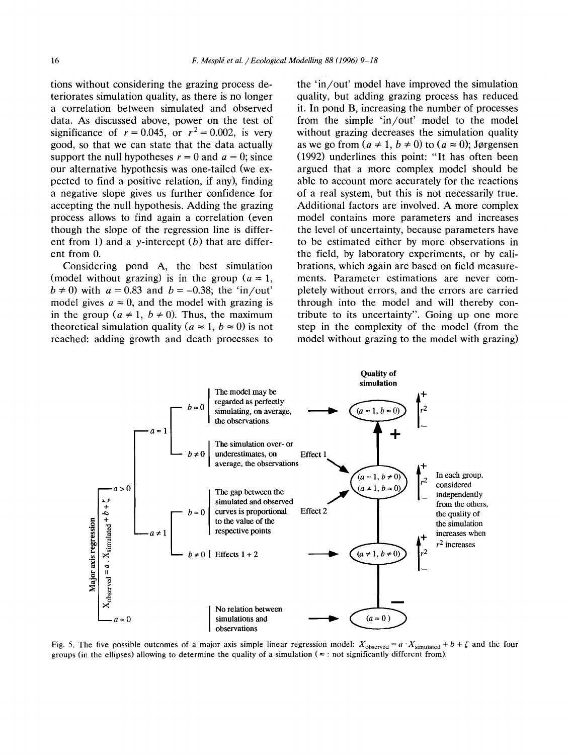tions without considering the grazing process deteriorates simulation quality, as there is no longer a correlation between simulated and observed data. As discussed above, power on the test of significance of  $r = 0.045$ , or  $r^2 = 0.002$ , is very good, so that we can state that the data actually support the null hypotheses  $r = 0$  and  $a = 0$ ; since our alternative hypothesis was one-tailed (we expected to find a positive relation, if any), finding a negative slope gives us further confidence for accepting the null hypothesis. Adding the grazing process allows to find again a correlation (even though the slope of the regression line is different from 1) and a y-intercept  $(b)$  that are different from 0.

Considering pond A, the best simulation (model without grazing) is in the group ( $a \approx 1$ ,  $b \ne 0$ ) with  $a = 0.83$  and  $b = -0.38$ ; the 'in/out' model gives  $a \approx 0$ , and the model with grazing is in the group ( $a \ne 1$ ,  $b \ne 0$ ). Thus, the maximum theoretical simulation quality ( $a \approx 1$ ,  $b \approx 0$ ) is not reached: adding growth and death processes to the 'in/out' model have improved the simulation quality, but adding grazing process has reduced it. In pond B, increasing the number of processes from the simple 'in/out' model to the model without grazing decreases the simulation quality as we go from  $(a \neq 1, b \neq 0)$  to  $(a \approx 0)$ ; Jørgensen (1992) underlines this point: "It has often been argued that a more complex model should be able to account more accurately for the reactions of a real system, but this is not necessarily true. Additional factors are involved. A more complex model contains more parameters and increases the level of uncertainty, because parameters have to be estimated either by more observations in the field, by laboratory experiments, or by calibrations, which again are based on field measurements. Parameter estimations are never completely without errors, and the errors are carried through into the model and will thereby contribute to its uncertainty". Going up one more step in the complexity of the model (from the model without grazing to the model with grazing)



Fig. 5. The five possible outcomes of a major axis simple linear regression model:  $X_{observed} = a \cdot X_{simulated} + b + \zeta$  and the four groups (in the ellipses) allowing to determine the quality of a simulation ( $\approx$  : not significantly different from).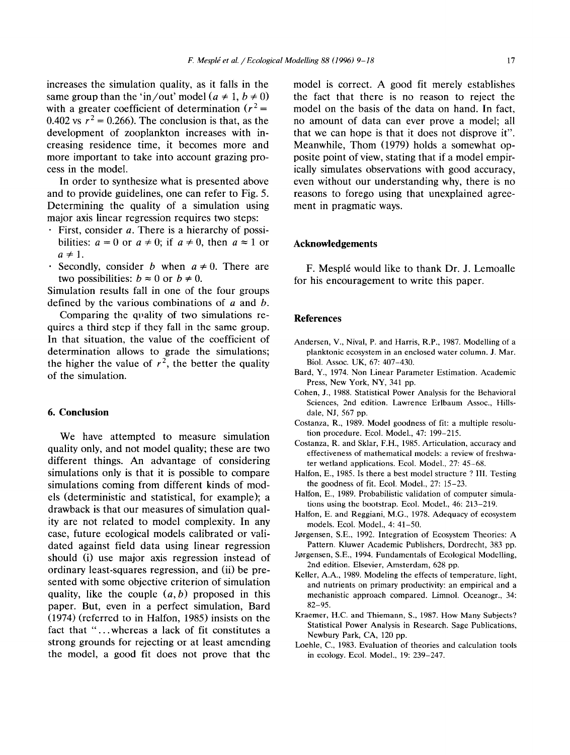increases the simulation quality, as it falls in the same group than the 'in/out' model ( $a \ne 1$ ,  $b \ne 0$ ) with a greater coefficient of determination ( $r^2$  = 0.402 vs  $r^2$  = 0.266). The conclusion is that, as the development of zooplankton increases with increasing residence time, it becomes more and more important to take into account grazing process in the model.

In order to synthesize what is presented above and to provide guidelines, one can refer to Fig. 5. Determining the quality of a simulation using major axis linear regression requires two steps:

- $\cdot$  First, consider a. There is a hierarchy of possibilities:  $a = 0$  or  $a \neq 0$ ; if  $a \neq 0$ , then  $a \approx 1$  or  $a \neq 1$ .
- Secondly, consider b when  $a \neq 0$ . There are two possibilities:  $b \approx 0$  or  $b \neq 0$ .

Simulation results fall in one of the four groups defined by the various combinations of  $a$  and  $b$ .

Comparing the quality of two simulations requires a third step if they fall in the same group. In that situation, the value of the coefficient of determination allows to grade the simulations; the higher the value of  $r^2$ , the better the quality of the simulation.

#### **6. Conclusion**

We have attempted to measure simulation quality only, and not model quality; these are two different things. An advantage of considering simulations only is that it is possible to compare simulations coming from different kinds of models (deterministic and statistical, for example); a drawback is that our measures of simulation quality are not related to model complexity. In any case, future ecological models calibrated or validated against field data using linear regression should (i) use major axis regression instead of ordinary least-squares regression, and (ii) be presented with some objective criterion of simulation quality, like the couple  $(a, b)$  proposed in this paper. But, even in a perfect simulation, Bard (1974) (referred to in Halfon, 1985) insists on the fact that "...whereas a lack of fit constitutes a strong grounds for rejecting or at least amending the model, a good fit does not prove that the model is correct. A good fit merely establishes the fact that there is no reason to reject the model on the basis of the data on hand. In fact, no amount of data can ever prove a model; all that we can hope is that it does not disprove it". Meanwhile, Thom (1979) holds a somewhat opposite point of view, stating that if a model empirically simulates observations with good accuracy, even without our understanding why, there is no reasons to forego using that unexplained agreement in pragmatic ways.

#### **Acknowledgements**

F. Mespl6 would like to thank Dr. J. Lemoalle for his encouragement to write this paper.

### **References**

- Andersen, V., Nival, P. and Harris, R.P., 1987. Modelling of a planktonic ecosystem in an enclosed water column. J. Mar. Biol. Assoc. UK, 67: 407-430.
- Bard, Y., 1974. Non Linear Parameter Estimation. Academic Press, New York, NY, 341 pp.
- Cohen, J., 1988. Statistical Power Analysis for the Behavioral Sciences, 2nd edition. Lawrence Erlbaum Assoc., Hillsdale, NJ, 567 pp.
- Costanza, R., 1989. Model goodness of fit: a multiple resolution procedure. Ecol. Model., 47: 199-215.
- Costanza, R. and Sklar, F.H., 1985. Articulation, accuracy and effectiveness of mathematical models: a review of freshwater wetland applications. Ecol. Model., 27: 45-68.
- Halfon, E., 1985. Is there a best model structure ? III. Testing the goodness of fit. Ecol. Model., 27: 15-23.
- Halfon, E., 1989. Probabilistic validation of computer simulations using the bootstrap. Ecol. Model., 46: 213-219.
- Halfon, E. and Reggiani, M.G., 1978. Adequacy of ecosystem models. Ecol. Model., 4: 41-50.
- Jørgensen, S.E., 1992. Integration of Ecosystem Theories: A Pattern. Kluwer Academic Publishers, Dordrecht, 383 pp.
- Jørgensen, S.E., 1994. Fundamentals of Ecological Modelling, 2nd edition. Elsevier, Amsterdam, 628 pp.
- Keller, A.A., 1989. Modeling the effects of temperature, light, and nutrients on primary productivity: an empirical and a mechanistic approach compared. Limnol. Oceanogr., 34: 82-95.
- Kraemer, H.C. and Thiemann, S., 1987. How Many Subjects? Statistical Power Analysis in Research. Sage Publications, Newbury Park, CA, 120 pp.
- Loehle, C., 1983. Evaluation of theories and calculation tools in ecology. Ecol. Model., 19: 239-247.